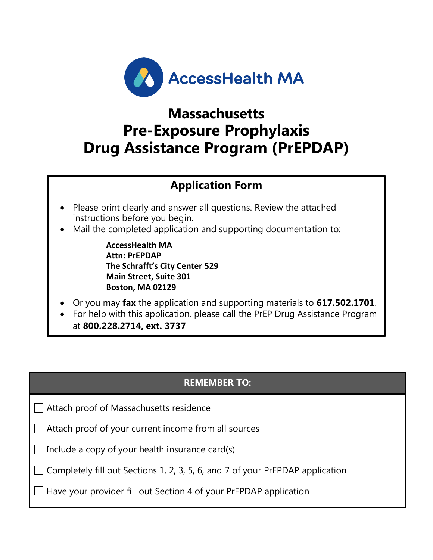

# **Massachusetts Pre-Exposure Prophylaxis Drug Assistance Program (PrEPDAP)**

# **Application Form**

- Please print clearly and answer all questions. Review the attached instructions before you begin.
- Mail the completed application and supporting documentation to:

**AccessHealth MA Attn: PrEPDAP The Schrafft's City Center 529 Main Street, Suite 301 Boston, MA 02129**

- Or you may **fax** the application and supporting materials to **617.502.1701**.
- For help with this application, please call the PrEP Drug Assistance Program at **800.228.2714, ext. 3737**

# **REMEMBER TO:**

Attach proof of Massachusetts residence

Attach proof of your current income from all sources

 $\Box$  Include a copy of your health insurance card(s)

Completely fill out Sections 1, 2, 3, 5, 6, and 7 of your PrEPDAP application

 $\Box$  Have your provider fill out Section 4 of your PrEPDAP application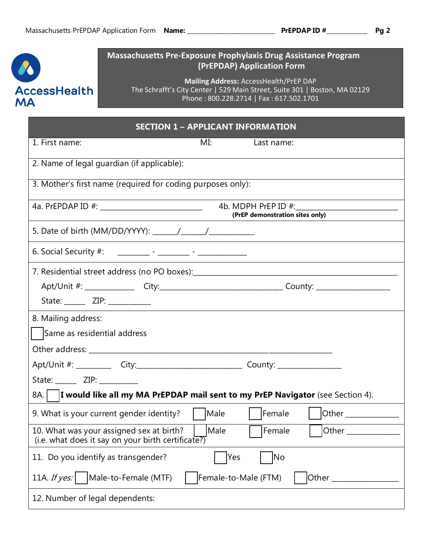

# **Massachusetts Pre-Exposure Prophylaxis Drug Assistance Program (PrEPDAP) Application Form**

**Mailing Address:** AccessHealth/PrEP DAP The Schrafft's City Center | 529 Main Street, Suite 301 | Boston, MA 02129 Phone : 800.228.2714 | Fax : 617.502.1701

| <b>SECTION 1 - APPLICANT INFORMATION</b>                                                                                  |  |
|---------------------------------------------------------------------------------------------------------------------------|--|
| 1. First name:<br>MI:<br>Last name:                                                                                       |  |
| 2. Name of legal guardian (if applicable):                                                                                |  |
| 3. Mother's first name (required for coding purposes only):                                                               |  |
| 4a. PrEPDAP ID #: ______________________________<br>(PrEP demonstration sites only)                                       |  |
|                                                                                                                           |  |
|                                                                                                                           |  |
|                                                                                                                           |  |
| Apt/Unit #: _______________City:_________________________________County: __________________________                       |  |
| State: _______ ZIP: ___________<br><u> 1986 - Johann Stein, Amerikaansk politiker (</u>                                   |  |
| 8. Mailing address:                                                                                                       |  |
| Same as residential address                                                                                               |  |
|                                                                                                                           |  |
| Apt/Unit #: ____________City:_______________________________County: _____________                                         |  |
| State: _______ ZIP: __________                                                                                            |  |
| 8A.   I would like all my MA PrEPDAP mail sent to my PrEP Navigator (see Section 4).                                      |  |
| Male<br>Female<br><b>Other Community</b><br>9. What is your current gender identity?                                      |  |
| Male<br>Other<br>10. What was your assigned sex at birth?<br>Female<br>(i.e. what does it say on your birth certificate?) |  |
| 11. Do you identify as transgender?<br>Yes<br> No                                                                         |  |
| Male-to-Female (MTF)<br>Female-to-Male (FTM)<br>11A. If $yes:$<br>Other                                                   |  |
| 12. Number of legal dependents:                                                                                           |  |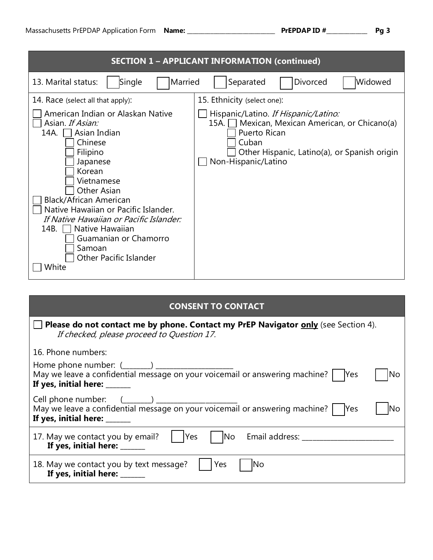|                                                                                                                                                                                                                                                                                                                                                                                     | <b>SECTION 1 - APPLICANT INFORMATION (continued)</b>                                                                                                                                       |
|-------------------------------------------------------------------------------------------------------------------------------------------------------------------------------------------------------------------------------------------------------------------------------------------------------------------------------------------------------------------------------------|--------------------------------------------------------------------------------------------------------------------------------------------------------------------------------------------|
| Single<br>Married<br>13. Marital status:                                                                                                                                                                                                                                                                                                                                            | Widowed<br>Separated<br><b>Divorced</b>                                                                                                                                                    |
| 14. Race (select all that apply):                                                                                                                                                                                                                                                                                                                                                   | 15. Ethnicity (select one):                                                                                                                                                                |
| American Indian or Alaskan Native<br>Asian. If Asian:<br>14A.<br>Asian Indian<br>Chinese<br>Filipino<br>Japanese<br>Korean<br>Vietnamese<br><b>Other Asian</b><br>Black/African American<br>Native Hawaiian or Pacific Islander.<br>If Native Hawaiian or Pacific Islander:<br>Native Hawaiian<br>14B.<br>Guamanian or Chamorro<br>Samoan<br><b>Other Pacific Islander</b><br>White | Hispanic/Latino. If Hispanic/Latino:<br>Mexican, Mexican American, or Chicano(a)<br>15A. I<br>Puerto Rican<br>Cuban<br>Other Hispanic, Latino(a), or Spanish origin<br>Non-Hispanic/Latino |

| <b>CONSENT TO CONTACT</b>                                                                                                                                                      |
|--------------------------------------------------------------------------------------------------------------------------------------------------------------------------------|
| Please do not contact me by phone. Contact my PrEP Navigator only (see Section 4).<br>If checked, please proceed to Question 17.                                               |
| 16. Phone numbers:                                                                                                                                                             |
| No<br>If yes, initial here: ______                                                                                                                                             |
| Cell phone number: $(\_\_\_\_\_)\_\_\_\_\_\_$<br>May we leave a confidential message on your voicemail or answering machine? $\Box$ Yes<br>lNo<br>If yes, initial here: ______ |
| No Email address: __________<br>17. May we contact you by email?<br><b>Yes</b><br>If yes, initial here: _____                                                                  |
| Yes<br>18. May we contact you by text message?<br>INO<br>If yes, initial here: ______                                                                                          |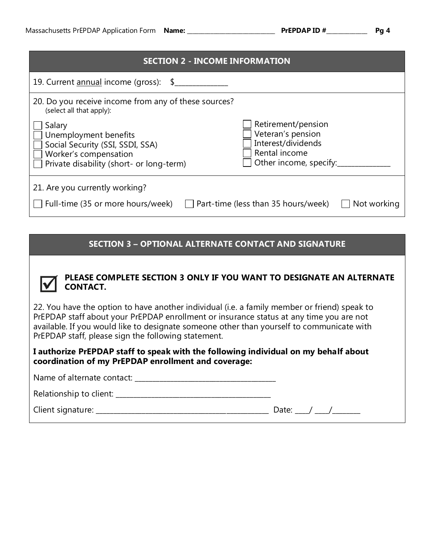#### **SECTION 2 - INCOME INFORMATION**

| 19. Current annual income (gross): \$                                                                                                    |                                                                                                          |
|------------------------------------------------------------------------------------------------------------------------------------------|----------------------------------------------------------------------------------------------------------|
| 20. Do you receive income from any of these sources?<br>(select all that apply):                                                         |                                                                                                          |
| Salary<br>Unemployment benefits<br>Social Security (SSI, SSDI, SSA)<br>Worker's compensation<br>Private disability (short- or long-term) | Retirement/pension<br>Veteran's pension<br>Interest/dividends<br>Rental income<br>Other income, specify: |
| 21. Are you currently working?                                                                                                           |                                                                                                          |
| Full-time (35 or more hours/week)                                                                                                        | $\Box$ Part-time (less than 35 hours/week)<br>Not working                                                |

## **SECTION 3 – OPTIONAL ALTERNATE CONTACT AND SIGNATURE**



## **PLEASE COMPLETE SECTION 3 ONLY IF YOU WANT TO DESIGNATE AN ALTERNATE CONTACT.**

22. You have the option to have another individual (i.e. a family member or friend) speak to PrEPDAP staff about your PrEPDAP enrollment or insurance status at any time you are not available. If you would like to designate someone other than yourself to communicate with PrEPDAP staff, please sign the following statement.

**I authorize PrEPDAP staff to speak with the following individual on my behalf about coordination of my PrEPDAP enrollment and coverage:**

Name of alternate contact:

| Relationship to client: |  |
|-------------------------|--|
|-------------------------|--|

|  | Client signature: |  |
|--|-------------------|--|
|  |                   |  |

Client signature: \_\_\_\_\_\_\_\_\_\_\_\_\_\_\_\_\_\_\_\_\_\_\_\_\_\_\_\_\_\_\_\_\_\_\_\_\_\_\_\_\_\_\_\_\_\_\_\_\_ Date: \_\_\_\_/ \_\_\_\_/\_\_\_\_\_\_\_\_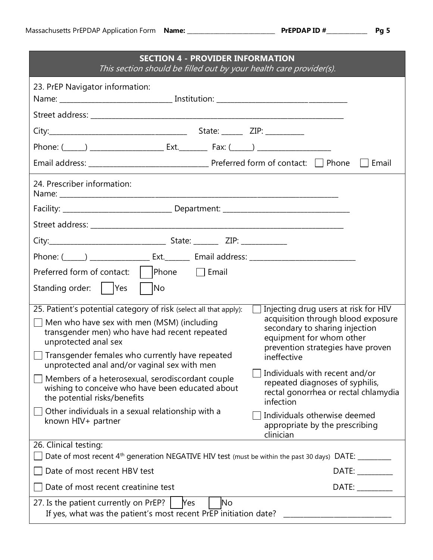| <b>SECTION 4 - PROVIDER INFORMATION</b><br>This section should be filled out by your health care provider(s).                                                                                                                                                                               |                                                                                                                                                                                                                                |
|---------------------------------------------------------------------------------------------------------------------------------------------------------------------------------------------------------------------------------------------------------------------------------------------|--------------------------------------------------------------------------------------------------------------------------------------------------------------------------------------------------------------------------------|
| 23. PrEP Navigator information:                                                                                                                                                                                                                                                             |                                                                                                                                                                                                                                |
|                                                                                                                                                                                                                                                                                             |                                                                                                                                                                                                                                |
|                                                                                                                                                                                                                                                                                             |                                                                                                                                                                                                                                |
|                                                                                                                                                                                                                                                                                             |                                                                                                                                                                                                                                |
|                                                                                                                                                                                                                                                                                             | Email<br>$\sim$ 1 $\sim$ 1                                                                                                                                                                                                     |
| 24. Prescriber information:                                                                                                                                                                                                                                                                 |                                                                                                                                                                                                                                |
|                                                                                                                                                                                                                                                                                             |                                                                                                                                                                                                                                |
|                                                                                                                                                                                                                                                                                             |                                                                                                                                                                                                                                |
|                                                                                                                                                                                                                                                                                             |                                                                                                                                                                                                                                |
|                                                                                                                                                                                                                                                                                             |                                                                                                                                                                                                                                |
| Preferred form of contact: $\vert$  Phone $\vert$ Email                                                                                                                                                                                                                                     |                                                                                                                                                                                                                                |
| <b>No</b><br>Standing order:       Yes                                                                                                                                                                                                                                                      |                                                                                                                                                                                                                                |
| 25. Patient's potential category of risk (select all that apply):<br>Men who have sex with men (MSM) (including<br>transgender men) who have had recent repeated<br>unprotected anal sex<br>Transgender females who currently have repeated<br>unprotected anal and/or vaginal sex with men | Injecting drug users at risk for HIV<br>acquisition through blood exposure<br>secondary to sharing injection<br>equipment for whom other<br>prevention strategies have proven<br>ineffective                                   |
| Members of a heterosexual, serodiscordant couple<br>wishing to conceive who have been educated about<br>the potential risks/benefits                                                                                                                                                        | Individuals with recent and/or<br>repeated diagnoses of syphilis,<br>rectal gonorrhea or rectal chlamydia<br>infection                                                                                                         |
| Other individuals in a sexual relationship with a<br>known HIV+ partner                                                                                                                                                                                                                     | Individuals otherwise deemed<br>appropriate by the prescribing<br>clinician                                                                                                                                                    |
| 26. Clinical testing:<br>Date of most recent 4 <sup>th</sup> generation NEGATIVE HIV test (must be within the past 30 days) DATE: _______                                                                                                                                                   |                                                                                                                                                                                                                                |
| Date of most recent HBV test                                                                                                                                                                                                                                                                | DATE: the contract of the contract of the contract of the contract of the contract of the contract of the contract of the contract of the contract of the contract of the contract of the contract of the contract of the cont |
| Date of most recent creatinine test                                                                                                                                                                                                                                                         | DATE: DATE:                                                                                                                                                                                                                    |
| 27. Is the patient currently on PrEP?<br>No.<br><b>Nes</b>                                                                                                                                                                                                                                  |                                                                                                                                                                                                                                |
| If yes, what was the patient's most recent PrEP initiation date?                                                                                                                                                                                                                            |                                                                                                                                                                                                                                |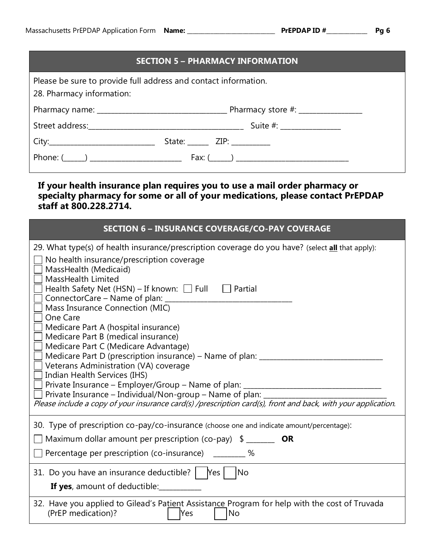|                                                                                                                 | <b>SECTION 5 - PHARMACY INFORMATION</b> |  |
|-----------------------------------------------------------------------------------------------------------------|-----------------------------------------|--|
| Please be sure to provide full address and contact information.<br>28. Pharmacy information:                    |                                         |  |
|                                                                                                                 |                                         |  |
| Street address: Notified and the street and the street and the street and the street and the street and the str | Suite #: _________________              |  |
|                                                                                                                 | State: $\angle$ ZIP: $\angle$           |  |

Phone: (\_\_\_\_\_\_) \_\_\_\_\_\_\_\_\_\_\_\_\_\_\_\_\_\_\_\_\_\_\_\_\_\_ Fax: (\_\_\_\_\_\_) \_\_\_\_\_\_\_\_\_\_\_\_\_\_\_\_\_\_\_\_\_\_\_\_\_\_\_\_\_\_\_\_

# **If your health insurance plan requires you to use a mail order pharmacy or specialty pharmacy for some or all of your medications, please contact PrEPDAP staff at 800.228.2714.**

| <b>SECTION 6 - INSURANCE COVERAGE/CO-PAY COVERAGE</b>                                                                                                                                                                                                                                                                                                                                                                                                                                                                                                                                                                                                                                                                                                                                                                                                                  |
|------------------------------------------------------------------------------------------------------------------------------------------------------------------------------------------------------------------------------------------------------------------------------------------------------------------------------------------------------------------------------------------------------------------------------------------------------------------------------------------------------------------------------------------------------------------------------------------------------------------------------------------------------------------------------------------------------------------------------------------------------------------------------------------------------------------------------------------------------------------------|
| 29. What type(s) of health insurance/prescription coverage do you have? (select all that apply):<br>No health insurance/prescription coverage<br>MassHealth (Medicaid)<br><b>MassHealth Limited</b><br>Health Safety Net (HSN) - If known: $\Box$ Full<br>Partial<br>ConnectorCare - Name of plan: _________<br>Mass Insurance Connection (MIC)<br>One Care<br>Medicare Part A (hospital insurance)<br>Medicare Part B (medical insurance)<br>Medicare Part C (Medicare Advantage)<br>Medicare Part D (prescription insurance) – Name of plan: _____<br>Veterans Administration (VA) coverage<br>Indian Health Services (IHS)<br>Private Insurance - Employer/Group - Name of plan: _<br>Private Insurance - Individual/Non-group - Name of plan: ___<br>Please include a copy of your insurance card(s) /prescription card(s), front and back, with your application. |
| 30. Type of prescription co-pay/co-insurance (choose one and indicate amount/percentage):<br>Maximum dollar amount per prescription (co-pay) $\frac{1}{2}$ ______<br><b>OR</b>                                                                                                                                                                                                                                                                                                                                                                                                                                                                                                                                                                                                                                                                                         |
| Percentage per prescription (co-insurance) _________ %                                                                                                                                                                                                                                                                                                                                                                                                                                                                                                                                                                                                                                                                                                                                                                                                                 |
| 31. Do you have an insurance deductible?   Yes<br>No No<br><b>If yes</b> , amount of deductible:__________                                                                                                                                                                                                                                                                                                                                                                                                                                                                                                                                                                                                                                                                                                                                                             |
| 32. Have you applied to Gilead's Patient Assistance Program for help with the cost of Truvada<br>(PrEP medication)?<br>No<br>Yes                                                                                                                                                                                                                                                                                                                                                                                                                                                                                                                                                                                                                                                                                                                                       |